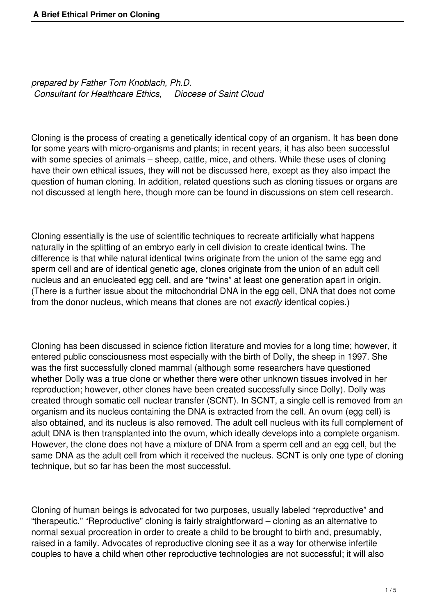*prepared by Father Tom Knoblach, Ph.D. Consultant for Healthcare Ethics, Diocese of Saint Cloud*

Cloning is the process of creating a genetically identical copy of an organism. It has been done for some years with micro-organisms and plants; in recent years, it has also been successful with some species of animals – sheep, cattle, mice, and others. While these uses of cloning have their own ethical issues, they will not be discussed here, except as they also impact the question of human cloning. In addition, related questions such as cloning tissues or organs are not discussed at length here, though more can be found in discussions on stem cell research.

Cloning essentially is the use of scientific techniques to recreate artificially what happens naturally in the splitting of an embryo early in cell division to create identical twins. The difference is that while natural identical twins originate from the union of the same egg and sperm cell and are of identical genetic age, clones originate from the union of an adult cell nucleus and an enucleated egg cell, and are "twins" at least one generation apart in origin. (There is a further issue about the mitochondrial DNA in the egg cell, DNA that does not come from the donor nucleus, which means that clones are not *exactly* identical copies.)

Cloning has been discussed in science fiction literature and movies for a long time; however, it entered public consciousness most especially with the birth of Dolly, the sheep in 1997. She was the first successfully cloned mammal (although some researchers have questioned whether Dolly was a true clone or whether there were other unknown tissues involved in her reproduction; however, other clones have been created successfully since Dolly). Dolly was created through somatic cell nuclear transfer (SCNT). In SCNT, a single cell is removed from an organism and its nucleus containing the DNA is extracted from the cell. An ovum (egg cell) is also obtained, and its nucleus is also removed. The adult cell nucleus with its full complement of adult DNA is then transplanted into the ovum, which ideally develops into a complete organism. However, the clone does not have a mixture of DNA from a sperm cell and an egg cell, but the same DNA as the adult cell from which it received the nucleus. SCNT is only one type of cloning technique, but so far has been the most successful.

Cloning of human beings is advocated for two purposes, usually labeled "reproductive" and "therapeutic." "Reproductive" cloning is fairly straightforward – cloning as an alternative to normal sexual procreation in order to create a child to be brought to birth and, presumably, raised in a family. Advocates of reproductive cloning see it as a way for otherwise infertile couples to have a child when other reproductive technologies are not successful; it will also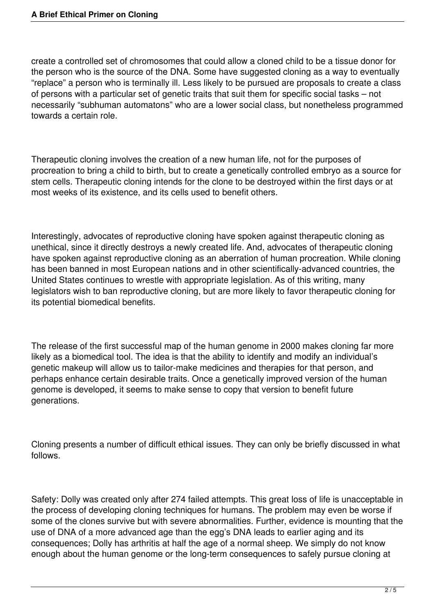create a controlled set of chromosomes that could allow a cloned child to be a tissue donor for the person who is the source of the DNA. Some have suggested cloning as a way to eventually "replace" a person who is terminally ill. Less likely to be pursued are proposals to create a class of persons with a particular set of genetic traits that suit them for specific social tasks – not necessarily "subhuman automatons" who are a lower social class, but nonetheless programmed towards a certain role.

Therapeutic cloning involves the creation of a new human life, not for the purposes of procreation to bring a child to birth, but to create a genetically controlled embryo as a source for stem cells. Therapeutic cloning intends for the clone to be destroyed within the first days or at most weeks of its existence, and its cells used to benefit others.

Interestingly, advocates of reproductive cloning have spoken against therapeutic cloning as unethical, since it directly destroys a newly created life. And, advocates of therapeutic cloning have spoken against reproductive cloning as an aberration of human procreation. While cloning has been banned in most European nations and in other scientifically-advanced countries, the United States continues to wrestle with appropriate legislation. As of this writing, many legislators wish to ban reproductive cloning, but are more likely to favor therapeutic cloning for its potential biomedical benefits.

The release of the first successful map of the human genome in 2000 makes cloning far more likely as a biomedical tool. The idea is that the ability to identify and modify an individual's genetic makeup will allow us to tailor-make medicines and therapies for that person, and perhaps enhance certain desirable traits. Once a genetically improved version of the human genome is developed, it seems to make sense to copy that version to benefit future generations.

Cloning presents a number of difficult ethical issues. They can only be briefly discussed in what follows.

Safety: Dolly was created only after 274 failed attempts. This great loss of life is unacceptable in the process of developing cloning techniques for humans. The problem may even be worse if some of the clones survive but with severe abnormalities. Further, evidence is mounting that the use of DNA of a more advanced age than the egg's DNA leads to earlier aging and its consequences; Dolly has arthritis at half the age of a normal sheep. We simply do not know enough about the human genome or the long-term consequences to safely pursue cloning at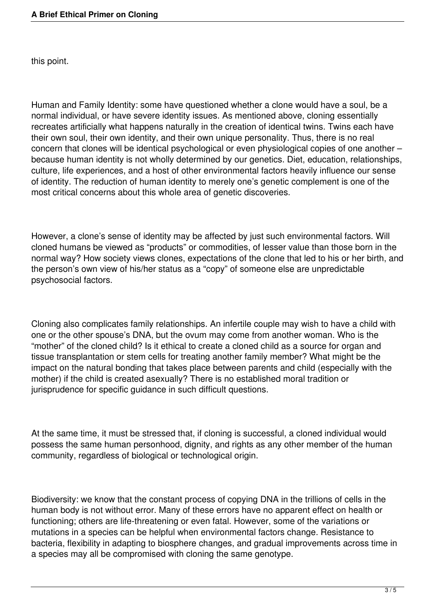this point.

Human and Family Identity: some have questioned whether a clone would have a soul, be a normal individual, or have severe identity issues. As mentioned above, cloning essentially recreates artificially what happens naturally in the creation of identical twins. Twins each have their own soul, their own identity, and their own unique personality. Thus, there is no real concern that clones will be identical psychological or even physiological copies of one another – because human identity is not wholly determined by our genetics. Diet, education, relationships, culture, life experiences, and a host of other environmental factors heavily influence our sense of identity. The reduction of human identity to merely one's genetic complement is one of the most critical concerns about this whole area of genetic discoveries.

However, a clone's sense of identity may be affected by just such environmental factors. Will cloned humans be viewed as "products" or commodities, of lesser value than those born in the normal way? How society views clones, expectations of the clone that led to his or her birth, and the person's own view of his/her status as a "copy" of someone else are unpredictable psychosocial factors.

Cloning also complicates family relationships. An infertile couple may wish to have a child with one or the other spouse's DNA, but the ovum may come from another woman. Who is the "mother" of the cloned child? Is it ethical to create a cloned child as a source for organ and tissue transplantation or stem cells for treating another family member? What might be the impact on the natural bonding that takes place between parents and child (especially with the mother) if the child is created asexually? There is no established moral tradition or jurisprudence for specific guidance in such difficult questions.

At the same time, it must be stressed that, if cloning is successful, a cloned individual would possess the same human personhood, dignity, and rights as any other member of the human community, regardless of biological or technological origin.

Biodiversity: we know that the constant process of copying DNA in the trillions of cells in the human body is not without error. Many of these errors have no apparent effect on health or functioning; others are life-threatening or even fatal. However, some of the variations or mutations in a species can be helpful when environmental factors change. Resistance to bacteria, flexibility in adapting to biosphere changes, and gradual improvements across time in a species may all be compromised with cloning the same genotype.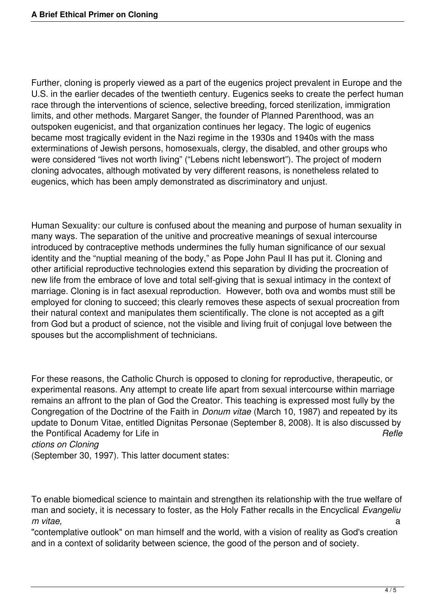Further, cloning is properly viewed as a part of the eugenics project prevalent in Europe and the U.S. in the earlier decades of the twentieth century. Eugenics seeks to create the perfect human race through the interventions of science, selective breeding, forced sterilization, immigration limits, and other methods. Margaret Sanger, the founder of Planned Parenthood, was an outspoken eugenicist, and that organization continues her legacy. The logic of eugenics became most tragically evident in the Nazi regime in the 1930s and 1940s with the mass exterminations of Jewish persons, homosexuals, clergy, the disabled, and other groups who were considered "lives not worth living" ("Lebens nicht lebenswort"). The project of modern cloning advocates, although motivated by very different reasons, is nonetheless related to eugenics, which has been amply demonstrated as discriminatory and unjust.

Human Sexuality: our culture is confused about the meaning and purpose of human sexuality in many ways. The separation of the unitive and procreative meanings of sexual intercourse introduced by contraceptive methods undermines the fully human significance of our sexual identity and the "nuptial meaning of the body," as Pope John Paul II has put it. Cloning and other artificial reproductive technologies extend this separation by dividing the procreation of new life from the embrace of love and total self-giving that is sexual intimacy in the context of marriage. Cloning is in fact asexual reproduction. However, both ova and wombs must still be employed for cloning to succeed; this clearly removes these aspects of sexual procreation from their natural context and manipulates them scientifically. The clone is not accepted as a gift from God but a product of science, not the visible and living fruit of conjugal love between the spouses but the accomplishment of technicians.

For these reasons, the Catholic Church is opposed to cloning for reproductive, therapeutic, or experimental reasons. Any attempt to create life apart from sexual intercourse within marriage remains an affront to the plan of God the Creator. This teaching is expressed most fully by the Congregation of the Doctrine of the Faith in *Donum vitae* (March 10, 1987) and repeated by its update to Donum Vitae, entitled Dignitas Personae (September 8, 2008). It is also discussed by the Pontifical Academy for Life in **Refle Refle Refle** *ctions on Cloning* 

(September 30, 1997). This latter document states:

To enable biomedical science to maintain and strengthen its relationship with the true welfare of man and society, it is necessary to foster, as the Holy Father recalls in the Encyclical *Evangeliu m vitae,* a

"contemplative outlook" on man himself and the world, with a vision of reality as God's creation and in a context of solidarity between science, the good of the person and of society.